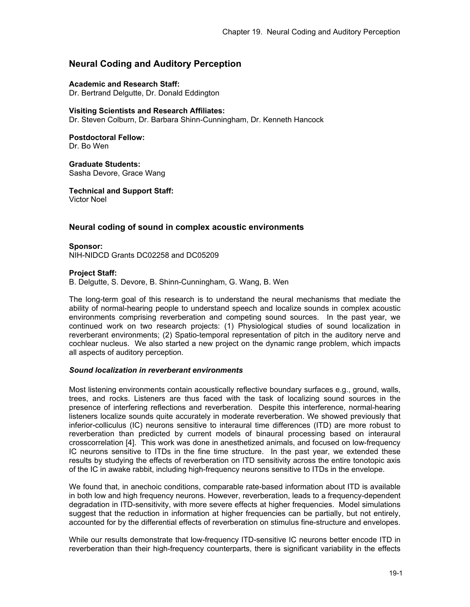# **Neural Coding and Auditory Perception**

### **Academic and Research Staff:**

Dr. Bertrand Delgutte, Dr. Donald Eddington

### **Visiting Scientists and Research Affiliates:**

Dr. Steven Colburn, Dr. Barbara Shinn-Cunningham, Dr. Kenneth Hancock

#### **Postdoctoral Fellow:**  Dr. Bo Wen

**Graduate Students:**  Sasha Devore, Grace Wang

**Technical and Support Staff:**  Victor Noel

### **Neural coding of sound in complex acoustic environments**

**Sponsor:** NIH-NIDCD Grants DC02258 and DC05209

### **Project Staff:**

B. Delgutte, S. Devore, B. Shinn-Cunningham, G. Wang, B. Wen

The long-term goal of this research is to understand the neural mechanisms that mediate the ability of normal-hearing people to understand speech and localize sounds in complex acoustic environments comprising reverberation and competing sound sources. In the past year, we continued work on two research projects: (1) Physiological studies of sound localization in reverberant environments; (2) Spatio-temporal representation of pitch in the auditory nerve and cochlear nucleus. We also started a new project on the dynamic range problem, which impacts all aspects of auditory perception.

### *Sound localization in reverberant environments*

Most listening environments contain acoustically reflective boundary surfaces e.g., ground, walls, trees, and rocks. Listeners are thus faced with the task of localizing sound sources in the presence of interfering reflections and reverberation. Despite this interference, normal-hearing listeners localize sounds quite accurately in moderate reverberation. We showed previously that inferior-colliculus (IC) neurons sensitive to interaural time differences (ITD) are more robust to reverberation than predicted by current models of binaural processing based on interaural crosscorrelation [4]. This work was done in anesthetized animals, and focused on low-frequency IC neurons sensitive to ITDs in the fine time structure. In the past year, we extended these results by studying the effects of reverberation on ITD sensitivity across the entire tonotopic axis of the IC in awake rabbit, including high-frequency neurons sensitive to ITDs in the envelope.

We found that, in anechoic conditions, comparable rate-based information about ITD is available in both low and high frequency neurons. However, reverberation, leads to a frequency-dependent degradation in ITD-sensitivity, with more severe effects at higher frequencies. Model simulations suggest that the reduction in information at higher frequencies can be partially, but not entirely, accounted for by the differential effects of reverberation on stimulus fine-structure and envelopes.

While our results demonstrate that low-frequency ITD-sensitive IC neurons better encode ITD in reverberation than their high-frequency counterparts, there is significant variability in the effects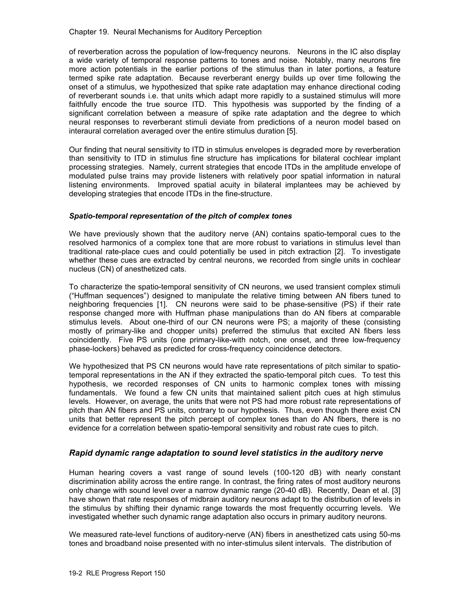#### Chapter 19. Neural Mechanisms for Auditory Perception

of reverberation across the population of low-frequency neurons. Neurons in the IC also display a wide variety of temporal response patterns to tones and noise. Notably, many neurons fire more action potentials in the earlier portions of the stimulus than in later portions, a feature termed spike rate adaptation. Because reverberant energy builds up over time following the onset of a stimulus, we hypothesized that spike rate adaptation may enhance directional coding of reverberant sounds i.e. that units which adapt more rapidly to a sustained stimulus will more faithfully encode the true source ITD. This hypothesis was supported by the finding of a significant correlation between a measure of spike rate adaptation and the degree to which neural responses to reverberant stimuli deviate from predictions of a neuron model based on interaural correlation averaged over the entire stimulus duration [5].

Our finding that neural sensitivity to ITD in stimulus envelopes is degraded more by reverberation than sensitivity to ITD in stimulus fine structure has implications for bilateral cochlear implant processing strategies. Namely, current strategies that encode ITDs in the amplitude envelope of modulated pulse trains may provide listeners with relatively poor spatial information in natural listening environments. Improved spatial acuity in bilateral implantees may be achieved by developing strategies that encode ITDs in the fine-structure.

### *Spatio-temporal representation of the pitch of complex tones*

We have previously shown that the auditory nerve (AN) contains spatio-temporal cues to the resolved harmonics of a complex tone that are more robust to variations in stimulus level than traditional rate-place cues and could potentially be used in pitch extraction [2]. To investigate whether these cues are extracted by central neurons, we recorded from single units in cochlear nucleus (CN) of anesthetized cats.

To characterize the spatio-temporal sensitivity of CN neurons, we used transient complex stimuli ("Huffman sequences") designed to manipulate the relative timing between AN fibers tuned to neighboring frequencies [1]. CN neurons were said to be phase-sensitive (PS) if their rate response changed more with Huffman phase manipulations than do AN fibers at comparable stimulus levels. About one-third of our CN neurons were PS; a majority of these (consisting mostly of primary-like and chopper units) preferred the stimulus that excited AN fibers less coincidently. Five PS units (one primary-like-with notch, one onset, and three low-frequency phase-lockers) behaved as predicted for cross-frequency coincidence detectors.

We hypothesized that PS CN neurons would have rate representations of pitch similar to spatiotemporal representations in the AN if they extracted the spatio-temporal pitch cues. To test this hypothesis, we recorded responses of CN units to harmonic complex tones with missing fundamentals. We found a few CN units that maintained salient pitch cues at high stimulus levels. However, on average, the units that were not PS had more robust rate representations of pitch than AN fibers and PS units, contrary to our hypothesis. Thus, even though there exist CN units that better represent the pitch percept of complex tones than do AN fibers, there is no evidence for a correlation between spatio-temporal sensitivity and robust rate cues to pitch.

## *Rapid dynamic range adaptation to sound level statistics in the auditory nerve*

Human hearing covers a vast range of sound levels (100-120 dB) with nearly constant discrimination ability across the entire range. In contrast, the firing rates of most auditory neurons only change with sound level over a narrow dynamic range (20-40 dB). Recently, Dean et al. [3] have shown that rate responses of midbrain auditory neurons adapt to the distribution of levels in the stimulus by shifting their dynamic range towards the most frequently occurring levels. We investigated whether such dynamic range adaptation also occurs in primary auditory neurons.

We measured rate-level functions of auditory-nerve (AN) fibers in anesthetized cats using 50-ms tones and broadband noise presented with no inter-stimulus silent intervals. The distribution of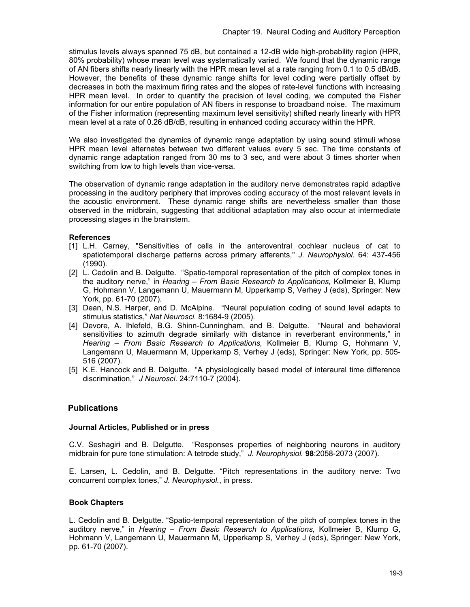stimulus levels always spanned 75 dB, but contained a 12-dB wide high-probability region (HPR, 80% probability) whose mean level was systematically varied. We found that the dynamic range of AN fibers shifts nearly linearly with the HPR mean level at a rate ranging from 0.1 to 0.5 dB/dB. However, the benefits of these dynamic range shifts for level coding were partially offset by decreases in both the maximum firing rates and the slopes of rate-level functions with increasing HPR mean level. In order to quantify the precision of level coding, we computed the Fisher information for our entire population of AN fibers in response to broadband noise. The maximum of the Fisher information (representing maximum level sensitivity) shifted nearly linearly with HPR mean level at a rate of 0.26 dB/dB, resulting in enhanced coding accuracy within the HPR.

We also investigated the dynamics of dynamic range adaptation by using sound stimuli whose HPR mean level alternates between two different values every 5 sec. The time constants of dynamic range adaptation ranged from 30 ms to 3 sec, and were about 3 times shorter when switching from low to high levels than vice-versa.

The observation of dynamic range adaptation in the auditory nerve demonstrates rapid adaptive processing in the auditory periphery that improves coding accuracy of the most relevant levels in the acoustic environment. These dynamic range shifts are nevertheless smaller than those observed in the midbrain, suggesting that additional adaptation may also occur at intermediate processing stages in the brainstem.

## **References**

- [1] L.H. Carney, "Sensitivities of cells in the anteroventral cochlear nucleus of cat to spatiotemporal discharge patterns across primary afferents," *J. Neurophysiol.* 64: 437-456 (1990).
- [2] L. Cedolin and B. Delgutte. "Spatio-temporal representation of the pitch of complex tones in the auditory nerve," in *Hearing – From Basic Research to Applications,* Kollmeier B, Klump G, Hohmann V, Langemann U, Mauermann M, Upperkamp S, Verhey J (eds), Springer: New York, pp. 61-70 (2007).
- [3] Dean, N.S. Harper, and D. McAlpine. "Neural population coding of sound level adapts to stimulus statistics," *Nat Neurosci.* 8:1684-9 (2005).
- [4] Devore, A. Ihlefeld, B.G. Shinn-Cunningham, and B. Delgutte. "Neural and behavioral sensitivities to azimuth degrade similarly with distance in reverberant environments," in *Hearing – From Basic Research to Applications,* Kollmeier B, Klump G, Hohmann V, Langemann U, Mauermann M, Upperkamp S, Verhey J (eds), Springer: New York, pp. 505- 516 (2007).
- [5] K.E. Hancock and B. Delgutte. "A physiologically based model of interaural time difference discrimination," *J Neurosci.* 24:7110-7 (2004).

## **Publications**

### **Journal Articles, Published or in press**

C.V. Seshagiri and B. Delgutte. "Responses properties of neighboring neurons in auditory midbrain for pure tone stimulation: A tetrode study," *J. Neurophysiol.* **98**:2058-2073 (2007).

E. Larsen, L. Cedolin, and B. Delgutte. "Pitch representations in the auditory nerve: Two concurrent complex tones," *J. Neurophysiol.*, in press.

### **Book Chapters**

L. Cedolin and B. Delgutte. "Spatio-temporal representation of the pitch of complex tones in the auditory nerve," in *Hearing – From Basic Research to Applications,* Kollmeier B, Klump G, Hohmann V, Langemann U, Mauermann M, Upperkamp S, Verhey J (eds), Springer: New York, pp. 61-70 (2007).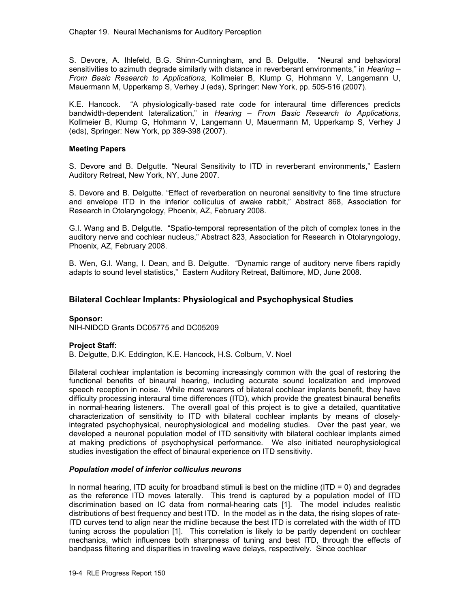S. Devore, A. Ihlefeld, B.G. Shinn-Cunningham, and B. Delgutte. "Neural and behavioral sensitivities to azimuth degrade similarly with distance in reverberant environments," in *Hearing – From Basic Research to Applications,* Kollmeier B, Klump G, Hohmann V, Langemann U, Mauermann M, Upperkamp S, Verhey J (eds), Springer: New York, pp. 505-516 (2007).

K.E. Hancock. "A physiologically-based rate code for interaural time differences predicts bandwidth-dependent lateralization," in *Hearing – From Basic Research to Applications,* Kollmeier B, Klump G, Hohmann V, Langemann U, Mauermann M, Upperkamp S, Verhey J (eds), Springer: New York, pp 389-398 (2007).

### **Meeting Papers**

S. Devore and B. Delgutte. "Neural Sensitivity to ITD in reverberant environments," Eastern Auditory Retreat, New York, NY, June 2007.

S. Devore and B. Delgutte. "Effect of reverberation on neuronal sensitivity to fine time structure and envelope ITD in the inferior colliculus of awake rabbit," Abstract 868, Association for Research in Otolaryngology, Phoenix, AZ, February 2008.

G.I. Wang and B. Delgutte. "Spatio-temporal representation of the pitch of complex tones in the auditory nerve and cochlear nucleus," Abstract 823, Association for Research in Otolaryngology, Phoenix, AZ, February 2008.

B. Wen, G.I. Wang, I. Dean, and B. Delgutte. "Dynamic range of auditory nerve fibers rapidly adapts to sound level statistics," Eastern Auditory Retreat, Baltimore, MD, June 2008.

## **Bilateral Cochlear Implants: Physiological and Psychophysical Studies**

#### **Sponsor:**

NIH-NIDCD Grants DC05775 and DC05209

### **Project Staff:**

B. Delgutte, D.K. Eddington, K.E. Hancock, H.S. Colburn, V. Noel

Bilateral cochlear implantation is becoming increasingly common with the goal of restoring the functional benefits of binaural hearing, including accurate sound localization and improved speech reception in noise. While most wearers of bilateral cochlear implants benefit, they have difficulty processing interaural time differences (ITD), which provide the greatest binaural benefits in normal-hearing listeners. The overall goal of this project is to give a detailed, quantitative characterization of sensitivity to ITD with bilateral cochlear implants by means of closelyintegrated psychophysical, neurophysiological and modeling studies. Over the past year, we developed a neuronal population model of ITD sensitivity with bilateral cochlear implants aimed at making predictions of psychophysical performance. We also initiated neurophysiological studies investigation the effect of binaural experience on ITD sensitivity.

#### *Population model of inferior colliculus neurons*

In normal hearing, ITD acuity for broadband stimuli is best on the midline  $(ID = 0)$  and degrades as the reference ITD moves laterally. This trend is captured by a population model of ITD discrimination based on IC data from normal-hearing cats [1]. The model includes realistic distributions of best frequency and best ITD. In the model as in the data, the rising slopes of rate-ITD curves tend to align near the midline because the best ITD is correlated with the width of ITD tuning across the population [1]. This correlation is likely to be partly dependent on cochlear mechanics, which influences both sharpness of tuning and best ITD, through the effects of bandpass filtering and disparities in traveling wave delays, respectively. Since cochlear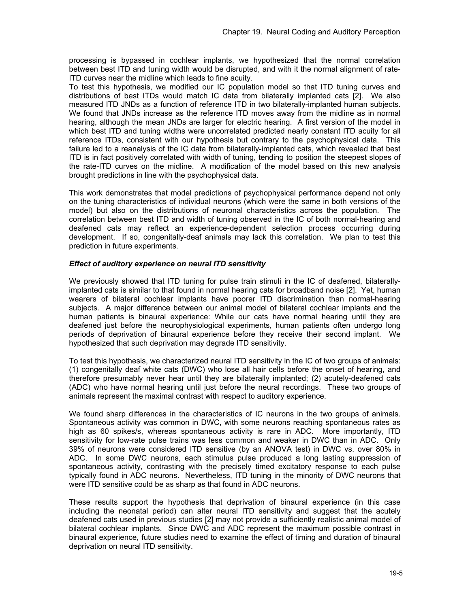processing is bypassed in cochlear implants, we hypothesized that the normal correlation between best ITD and tuning width would be disrupted, and with it the normal alignment of rate-ITD curves near the midline which leads to fine acuity.

To test this hypothesis, we modified our IC population model so that ITD tuning curves and distributions of best ITDs would match IC data from bilaterally implanted cats [2]. We also measured ITD JNDs as a function of reference ITD in two bilaterally-implanted human subjects. We found that JNDs increase as the reference ITD moves away from the midline as in normal hearing, although the mean JNDs are larger for electric hearing. A first version of the model in which best ITD and tuning widths were uncorrelated predicted nearly constant ITD acuity for all reference ITDs, consistent with our hypothesis but contrary to the psychophysical data. This failure led to a reanalysis of the IC data from bilaterally-implanted cats, which revealed that best ITD is in fact positively correlated with width of tuning, tending to position the steepest slopes of the rate-ITD curves on the midline. A modification of the model based on this new analysis brought predictions in line with the psychophysical data.

This work demonstrates that model predictions of psychophysical performance depend not only on the tuning characteristics of individual neurons (which were the same in both versions of the model) but also on the distributions of neuronal characteristics across the population. The correlation between best ITD and width of tuning observed in the IC of both normal-hearing and deafened cats may reflect an experience-dependent selection process occurring during development. If so, congenitally-deaf animals may lack this correlation. We plan to test this prediction in future experiments.

### *Effect of auditory experience on neural ITD sensitivity*

We previously showed that ITD tuning for pulse train stimuli in the IC of deafened, bilaterallyimplanted cats is similar to that found in normal hearing cats for broadband noise [2]. Yet, human wearers of bilateral cochlear implants have poorer ITD discrimination than normal-hearing subjects. A major difference between our animal model of bilateral cochlear implants and the human patients is binaural experience: While our cats have normal hearing until they are deafened just before the neurophysiological experiments, human patients often undergo long periods of deprivation of binaural experience before they receive their second implant. We hypothesized that such deprivation may degrade ITD sensitivity.

To test this hypothesis, we characterized neural ITD sensitivity in the IC of two groups of animals: (1) congenitally deaf white cats (DWC) who lose all hair cells before the onset of hearing, and therefore presumably never hear until they are bilaterally implanted; (2) acutely-deafened cats (ADC) who have normal hearing until just before the neural recordings. These two groups of animals represent the maximal contrast with respect to auditory experience.

We found sharp differences in the characteristics of IC neurons in the two groups of animals. Spontaneous activity was common in DWC, with some neurons reaching spontaneous rates as high as 60 spikes/s, whereas spontaneous activity is rare in ADC. More importantly, ITD sensitivity for low-rate pulse trains was less common and weaker in DWC than in ADC. Only 39% of neurons were considered ITD sensitive (by an ANOVA test) in DWC vs. over 80% in ADC. In some DWC neurons, each stimulus pulse produced a long lasting suppression of spontaneous activity, contrasting with the precisely timed excitatory response to each pulse typically found in ADC neurons. Nevertheless, ITD tuning in the minority of DWC neurons that were ITD sensitive could be as sharp as that found in ADC neurons.

These results support the hypothesis that deprivation of binaural experience (in this case including the neonatal period) can alter neural ITD sensitivity and suggest that the acutely deafened cats used in previous studies [2] may not provide a sufficiently realistic animal model of bilateral cochlear implants. Since DWC and ADC represent the maximum possible contrast in binaural experience, future studies need to examine the effect of timing and duration of binaural deprivation on neural ITD sensitivity.